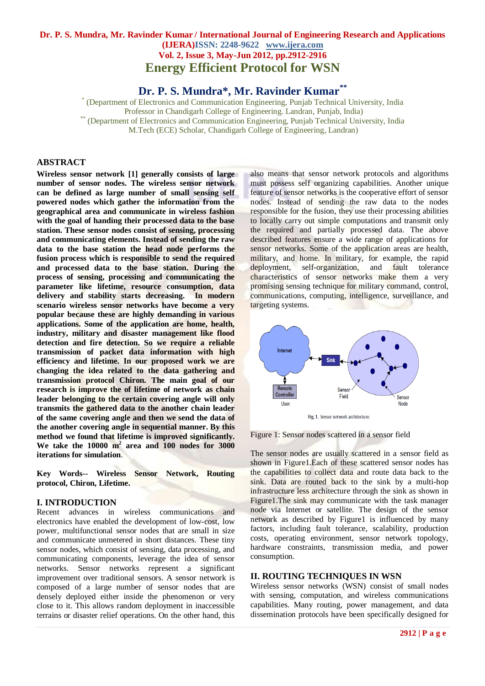## **Dr. P. S. Mundra, Mr. Ravinder Kumar / International Journal of Engineering Research and Applications (IJERA)ISSN: 2248-9622 www.ijera.com Vol. 2, Issue 3, May-Jun 2012, pp.2912-2916 Energy Efficient Protocol for WSN**

**Dr. P. S. Mundra\* , Mr. Ravinder Kumar\*\***

\* (Department of Electronics and Communication Engineering, Punjab Technical University, India Professor in Chandigarh College of Engineering. Landran, Punjab, India) \*\* (Department of Electronics and Communication Engineering, Punjab Technical University, India M.Tech (ECE) Scholar, Chandigarh College of Engineering, Landran)

## **ABSTRACT**

**Wireless sensor network [1] generally consists of large number of sensor nodes. The wireless sensor network can be defined as large number of small sensing self powered nodes which gather the information from the geographical area and communicate in wireless fashion with the goal of handing their processed data to the base station. These sensor nodes consist of sensing, processing and communicating elements. Instead of sending the raw data to the base station the head node performs the fusion process which is responsible to send the required and processed data to the base station. During the process of sensing, processing and communicating the parameter like lifetime, resource consumption, data delivery and stability starts decreasing. In modern scenario wireless sensor networks have become a very popular because these are highly demanding in various applications. Some of the application are home, health, industry, military and disaster management like flood detection and fire detection. So we require a reliable transmission of packet data information with high efficiency and lifetime. In our proposed work we are changing the idea related to the data gathering and transmission protocol Chiron. The main goal of our research is improve the of lifetime of network as chain leader belonging to the certain covering angle will only transmits the gathered data to the another chain leader of the same covering angle and then we send the data of the another covering angle in sequential manner. By this method we found that lifetime is improved significantly. We take the 10000 m<sup>2</sup> area and 100 nodes for 3000 iterations for simulation**.

**Key Words-- Wireless Sensor Network, Routing protocol, Chiron, Lifetime.**

### **I. INTRODUCTION**

Recent advances in wireless communications and electronics have enabled the development of low-cost, low power, multifunctional sensor nodes that are small in size and communicate unmetered in short distances. These tiny sensor nodes, which consist of sensing, data processing, and communicating components, leverage the idea of sensor networks. Sensor networks represent a significant improvement over traditional sensors. A sensor network is composed of a large number of sensor nodes that are densely deployed either inside the phenomenon or very close to it. This allows random deployment in inaccessible terrains or disaster relief operations. On the other hand, this

also means that sensor network protocols and algorithms must possess self organizing capabilities. Another unique feature of sensor networks is the cooperative effort of sensor nodes. Instead of sending the raw data to the nodes responsible for the fusion, they use their processing abilities to locally carry out simple computations and transmit only the required and partially processed data. The above described features ensure a wide range of applications for sensor networks. Some of the application areas are health, military, and home. In military, for example, the rapid deployment, self-organization, and fault tolerance characteristics of sensor networks make them a very promising sensing technique for military command, control, communications, computing, intelligence, surveillance, and targeting systems.



Figure 1: Sensor nodes scattered in a sensor field

The sensor nodes are usually scattered in a sensor field as shown in Figure1.Each of these scattered sensor nodes has the capabilities to collect data and route data back to the sink. Data are routed back to the sink by a multi-hop infrastructure less architecture through the sink as shown in Figure1.The sink may communicate with the task manager node via Internet or satellite. The design of the sensor network as described by Figure1 is influenced by many factors, including fault tolerance, scalability, production costs, operating environment, sensor network topology, hardware constraints, transmission media, and power consumption.

## **II. ROUTING TECHNIQUES IN WSN**

Wireless sensor networks (WSN) consist of small nodes with sensing, computation, and wireless communications capabilities. Many routing, power management, and data dissemination protocols have been specifically designed for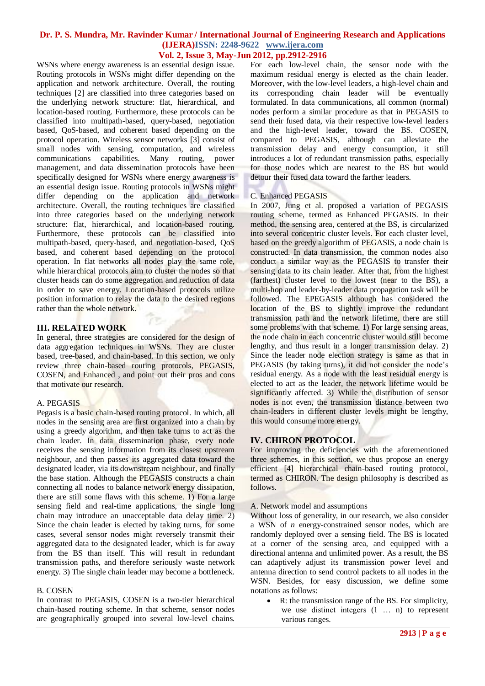## **Dr. P. S. Mundra, Mr. Ravinder Kumar / International Journal of Engineering Research and Applications (IJERA)ISSN: 2248-9622 www.ijera.com**

## **Vol. 2, Issue 3, May-Jun 2012, pp.2912-2916**

WSNs where energy awareness is an essential design issue. Routing protocols in WSNs might differ depending on the application and network architecture. Overall, the routing techniques [2] are classified into three categories based on the underlying network structure: flat, hierarchical, and location-based routing. Furthermore, these protocols can be classified into multipath-based, query-based, negotiation based, QoS-based, and coherent based depending on the protocol operation. Wireless sensor networks [3] consist of small nodes with sensing, computation, and wireless communications capabilities. Many routing, power management, and data dissemination protocols have been specifically designed for WSNs where energy awareness is an essential design issue. Routing protocols in WSNs might differ depending on the application and network architecture. Overall, the routing techniques are classified into three categories based on the underlying network structure: flat, hierarchical, and location-based routing. Furthermore, these protocols can be classified into multipath-based, query-based, and negotiation-based, QoS based, and coherent based depending on the protocol operation. In flat networks all nodes play the same role, while hierarchical protocols aim to cluster the nodes so that cluster heads can do some aggregation and reduction of data in order to save energy. Location-based protocols utilize position information to relay the data to the desired regions rather than the whole network.

## **III. RELATED WORK**

In general, three strategies are considered for the design of data aggregation techniques in WSNs. They are cluster based, tree-based, and chain-based. In this section, we only review three chain-based routing protocols, PEGASIS, COSEN, and Enhanced , and point out their pros and cons that motivate our research.

## A. PEGASIS

Pegasis is a basic chain-based routing protocol. In which, all nodes in the sensing area are first organized into a chain by using a greedy algorithm, and then take turns to act as the chain leader. In data dissemination phase, every node receives the sensing information from its closest upstream neighbour, and then passes its aggregated data toward the designated leader, via its downstream neighbour, and finally the base station. Although the PEGASIS constructs a chain connecting all nodes to balance network energy dissipation, there are still some flaws with this scheme. 1) For a large sensing field and real-time applications, the single long chain may introduce an unacceptable data delay time. 2) Since the chain leader is elected by taking turns, for some cases, several sensor nodes might reversely transmit their aggregated data to the designated leader, which is far away from the BS than itself. This will result in redundant transmission paths, and therefore seriously waste network energy. 3) The single chain leader may become a bottleneck.

#### B. COSEN

In contrast to PEGASIS, COSEN is a two-tier hierarchical chain-based routing scheme. In that scheme, sensor nodes are geographically grouped into several low-level chains.

For each low-level chain, the sensor node with the maximum residual energy is elected as the chain leader. Moreover, with the low-level leaders, a high-level chain and its corresponding chain leader will be eventually formulated. In data communications, all common (normal) nodes perform a similar procedure as that in PEGASIS to send their fused data, via their respective low-level leaders and the high-level leader, toward the BS. COSEN, compared to PEGASIS, although can alleviate the transmission delay and energy consumption, it still introduces a lot of redundant transmission paths, especially for those nodes which are nearest to the BS but would detour their fused data toward the farther leaders.

## C. Enhanced PEGASIS

In 2007, Jung et al. proposed a variation of PEGASIS routing scheme, termed as Enhanced PEGASIS. In their method, the sensing area, centered at the BS, is circularized into several concentric cluster levels. For each cluster level, based on the greedy algorithm of PEGASIS, a node chain is constructed. In data transmission, the common nodes also conduct a similar way as the PEGASIS to transfer their sensing data to its chain leader. After that, from the highest (farthest) cluster level to the lowest (near to the BS), a multi-hop and leader-by-leader data propagation task will be followed. The EPEGASIS although has considered the location of the BS to slightly improve the redundant transmission path and the network lifetime, there are still some problems with that scheme. 1) For large sensing areas, the node chain in each concentric cluster would still become lengthy, and thus result in a longer transmission delay. 2) Since the leader node election strategy is same as that in PEGASIS (by taking turns), it did not consider the node's residual energy. As a node with the least residual energy is elected to act as the leader, the network lifetime would be significantly affected. 3) While the distribution of sensor nodes is not even, the transmission distance between two chain-leaders in different cluster levels might be lengthy, this would consume more energy.

## **IV. CHIRON PROTOCOL**

For improving the deficiencies with the aforementioned three schemes, in this section, we thus propose an energy efficient [4] hierarchical chain-based routing protocol, termed as CHIRON. The design philosophy is described as follows.

#### A. Network model and assumptions

Without loss of generality, in our research, we also consider a WSN of *n* energy-constrained sensor nodes, which are randomly deployed over a sensing field. The BS is located at a corner of the sensing area, and equipped with a directional antenna and unlimited power. As a result, the BS can adaptively adjust its transmission power level and antenna direction to send control packets to all nodes in the WSN. Besides, for easy discussion, we define some notations as follows:

 R: the transmission range of the BS. For simplicity, we use distinct integers (1 … n) to represent various ranges.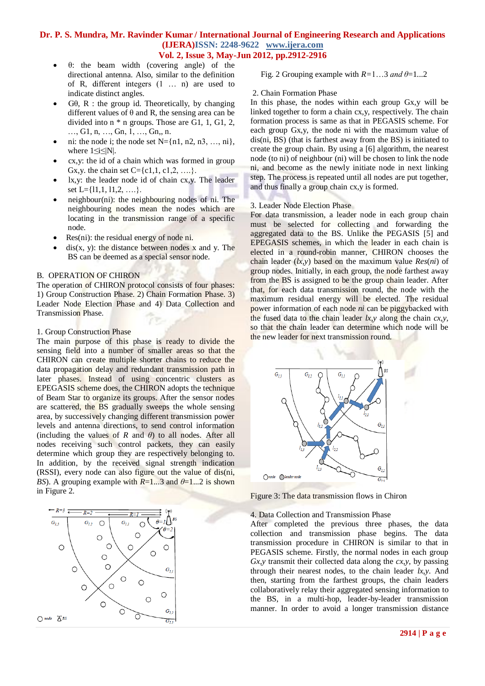## **Dr. P. S. Mundra, Mr. Ravinder Kumar / International Journal of Engineering Research and Applications (IJERA)ISSN: 2248-9622 www.ijera.com Vol. 2, Issue 3, May-Jun 2012, pp.2912-2916**

- θ: the beam width (covering angle) of the directional antenna. Also, similar to the definition of R, different integers (1 … n) are used to indicate distinct angles.
- $G\theta$ , R : the group id. Theoretically, by changing different values of  $\theta$  and R, the sensing area can be divided into  $n * n$  groups. Those are G1, 1, G1, 2, …, G1, n, …, Gn, 1, …, Gn,, n.
- ni: the node i; the node set  $N=\{n1, n2, n3, \ldots, ni\}$ , where 1≤i≤|N|.
- cx,y: the id of a chain which was formed in group Gx, y. the chain set  $C = \{c1, 1, c1, 2, \ldots\}$ .
- lx,y: the leader node id of chain cx,y. The leader set L= $\{11, 1, 11, 2, \ldots\}$ .
- neighbour(ni): the neighbouring nodes of ni. The neighbouring nodes mean the nodes which are locating in the transmission range of a specific node.
- Res(ni): the residual energy of node ni.
- $dis(x, y)$ : the distance between nodes x and y. The BS can be deemed as a special sensor node.

#### B. OPERATION OF CHIRON

The operation of CHIRON protocol consists of four phases: 1) Group Construction Phase. 2) Chain Formation Phase. 3) Leader Node Election Phase and 4) Data Collection and Transmission Phase.

#### 1. Group Construction Phase

The main purpose of this phase is ready to divide the sensing field into a number of smaller areas so that the CHIRON can create multiple shorter chains to reduce the data propagation delay and redundant transmission path in later phases. Instead of using concentric clusters as EPEGASIS scheme does, the CHIRON adopts the technique of Beam Star to organize its groups. After the sensor nodes are scattered, the BS gradually sweeps the whole sensing area, by successively changing different transmission power levels and antenna directions, to send control information (including the values of *R* and  $\theta$ ) to all nodes. After all nodes receiving such control packets, they can easily determine which group they are respectively belonging to. In addition, by the received signal strength indication (RSSI), every node can also figure out the value of dis(ni, *BS*). A grouping example with  $R=1...3$  and  $\theta=1...2$  is shown in Figure 2.



# Fig. 2 Grouping example with *R=*1…3 *and θ*=1...2

#### 2. Chain Formation Phase

In this phase, the nodes within each group Gx,y will be linked together to form a chain cx,y, respectively. The chain formation process is same as that in PEGASIS scheme. For each group Gx,y, the node ni with the maximum value of dis(ni, BS) (that is farthest away from the BS) is initiated to create the group chain. By using a [6] algorithm, the nearest node (to ni) of neighbour (ni) will be chosen to link the node ni, and become as the newly initiate node in next linking step. The process is repeated until all nodes are put together, and thus finally a group chain cx,y is formed.

#### 3. Leader Node Election Phase

For data transmission, a leader node in each group chain must be selected for collecting and forwarding the aggregated data to the BS. Unlike the PEGASIS [5] and EPEGASIS schemes, in which the leader in each chain is elected in a round-robin manner, CHIRON chooses the chain leader (*lx,y*) based on the maximum value *Res*(*ni*) of group nodes. Initially, in each group, the node farthest away from the BS is assigned to be the group chain leader. After that, for each data transmission round, the node with the maximum residual energy will be elected. The residual power information of each node *ni* can be piggybacked with the fused data to the chain leader  $lx$ , *y* along the chain  $cx$ , *y*, so that the chain leader can determine which node will be the new leader for next transmission round.



Figure 3: The data transmission flows in Chiron

#### 4. Data Collection and Transmission Phase

After completed the previous three phases, the data collection and transmission phase begins. The data transmission procedure in CHIRON is similar to that in PEGASIS scheme. Firstly, the normal nodes in each group *Gx,y* transmit their collected data along the *cx*,*y*, by passing through their nearest nodes, to the chain leader *lx*,*y*. And then, starting from the farthest groups, the chain leaders collaboratively relay their aggregated sensing information to the BS, in a multi-hop, leader-by-leader transmission manner. In order to avoid a longer transmission distance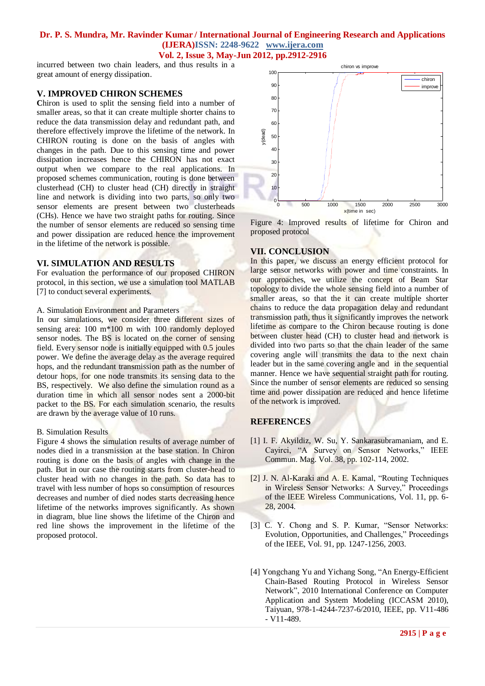# **Dr. P. S. Mundra, Mr. Ravinder Kumar / International Journal of Engineering Research and Applications (IJERA)ISSN: 2248-9622 www.ijera.com**

**Vol. 2, Issue 3, May-Jun 2012, pp.2912-2916**

incurred between two chain leaders, and thus results in a great amount of energy dissipation.

## **V. IMPROVED CHIRON SCHEMES**

**C**hiron is used to split the sensing field into a number of smaller areas, so that it can create multiple shorter chains to reduce the data transmission delay and redundant path, and therefore effectively improve the lifetime of the network. In CHIRON routing is done on the basis of angles with changes in the path. Due to this sensing time and power dissipation increases hence the CHIRON has not exact output when we compare to the real applications. In proposed schemes communication, routing is done between clusterhead (CH) to cluster head (CH) directly in straight line and network is dividing into two parts, so only two sensor elements are present between two clusterheads (CHs). Hence we have two straight paths for routing. Since the number of sensor elements are reduced so sensing time and power dissipation are reduced hence the improvement in the lifetime of the network is possible.

## **VI. SIMULATION AND RESULTS**

For evaluation the performance of our proposed CHIRON protocol, in this section, we use a simulation tool MATLAB [7] to conduct several experiments.

#### A. Simulation Environment and Parameters

In our simulations, we consider three different sizes of sensing area: 100 m<sup>\*</sup>100 m with 100 randomly deployed sensor nodes. The BS is located on the corner of sensing field. Every sensor node is initially equipped with 0.5 joules power. We define the average delay as the average required hops, and the redundant transmission path as the number of detour hops, for one node transmits its sensing data to the BS, respectively. We also define the simulation round as a duration time in which all sensor nodes sent a 2000-bit packet to the BS. For each simulation scenario, the results are drawn by the average value of 10 runs.

#### B. Simulation Results

Figure 4 shows the simulation results of average number of nodes died in a transmission at the base station. In Chiron routing is done on the basis of angles with change in the path. But in our case the routing starts from cluster-head to cluster head with no changes in the path. So data has to travel with less number of hops so consumption of resources decreases and number of died nodes starts decreasing hence lifetime of the networks improves significantly. As shown in diagram, blue line shows the lifetime of the Chiron and red line shows the improvement in the lifetime of the proposed protocol.



Figure 4: Improved results of lifetime for Chiron and proposed protocol

## **VII. CONCLUSION**

In this paper, we discuss an energy efficient protocol for large sensor networks with power and time constraints. In our approaches, we utilize the concept of Beam Star topology to divide the whole sensing field into a number of smaller areas, so that the it can create multiple shorter chains to reduce the data propagation delay and redundant transmission path, thus it significantly improves the network lifetime as compare to the Chiron because routing is done between cluster head (CH) to cluster head and network is divided into two parts so that the chain leader of the same covering angle will transmits the data to the next chain leader but in the same covering angle and in the sequential manner. Hence we have sequential straight path for routing. Since the number of sensor elements are reduced so sensing time and power dissipation are reduced and hence lifetime of the network is improved.

## **REFERENCES**

- [1] I. F. Akyildiz, W. Su, Y. Sankarasubramaniam, and E. Cayirci, "A Survey on Sensor Networks," IEEE Commun. Mag. Vol. 38, pp. 102-114, 2002.
- [2] J. N. Al-Karaki and A. E. Kamal, "Routing Techniques in Wireless Sensor Networks: A Survey," Proceedings of the IEEE Wireless Communications, Vol. 11, pp. 6- 28, 2004.
- [3] C. Y. Chong and S. P. Kumar, "Sensor Networks: Evolution, Opportunities, and Challenges," Proceedings of the IEEE, Vol. 91, pp. 1247-1256, 2003.
- [4] Yongchang Yu and Yichang Song, "An Energy-Efficient Chain-Based Routing Protocol in Wireless Sensor Network", 2010 International Conference on Computer Application and System Modeling (ICCASM 2010), Taiyuan, 978-1-4244-7237-6/2010, IEEE, pp. V11-486 - V11-489.